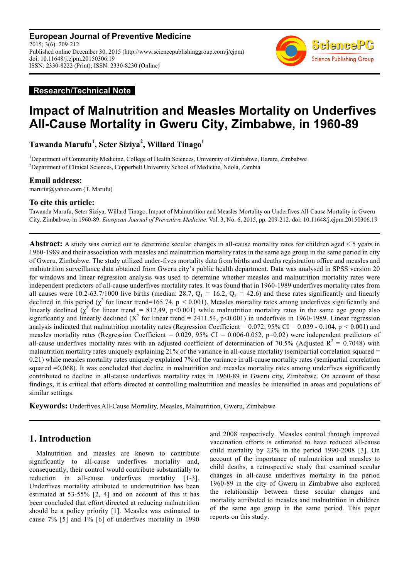**European Journal of Preventive Medicine** 2015; 3(6): 209-212 Published online December 30, 2015 (http://www.sciencepublishinggroup.com/j/ejpm) doi: 10.11648/j.ejpm.20150306.19 ISSN: 2330-8222 (Print); ISSN: 2330-8230 (Online)



### **Research/Technical Note**

# **Impact of Malnutrition and Measles Mortality on Underfives All-Cause Mortality in Gweru City, Zimbabwe, in 1960-89**

**Tawanda Marufu<sup>1</sup> , Seter Siziya<sup>2</sup> , Willard Tinago<sup>1</sup>**

<sup>1</sup>Department of Community Medicine, College of Health Sciences, University of Zimbabwe, Harare, Zimbabwe <sup>2</sup>Department of Clinical Sciences, Copperbelt University School of Medicine, Ndola, Zambia

#### **Email address:**

marufut@yahoo.com (T. Marufu)

#### **To cite this article:**

Tawanda Marufu, Seter Siziya, Willard Tinago. Impact of Malnutrition and Measles Mortality on Underfives All-Cause Mortality in Gweru City, Zimbabwe, in 1960-89. *European Journal of Preventive Medicine.* Vol. 3, No. 6, 2015, pp. 209-212. doi: 10.11648/j.ejpm.20150306.19

**Abstract:** A study was carried out to determine secular changes in all-cause mortality rates for children aged < 5 years in 1960-1989 and their association with measles and malnutrition mortality rates in the same age group in the same period in city of Gweru, Zimbabwe. The study utilized under-fives mortality data from births and deaths registration office and measles and malnutrition surveillance data obtained from Gweru city's public health department. Data was analysed in SPSS version 20 for windows and linear regression analysis was used to determine whether measles and malnutrition mortality rates were independent predictors of all-cause underfives mortality rates. It was found that in 1960-1989 underfives mortality rates from all causes were 10.2-63.7/1000 live births (median: 28.7,  $Q_1 = 16.2$ ,  $Q_3 = 42.6$ ) and these rates significantly and linearly declined in this period ( $\chi^2$  for linear trend=165.74, p < 0.001). Measles mortality rates among underfives significantly and linearly declined ( $\chi^2$  for linear trend = 812.49, p<0.001) while malnutrition mortality rates in the same age group also significantly and linearly declined ( $X^2$  for linear trend = 2411.54, p<0.001) in underfives in 1960-1989. Linear regression analysis indicated that malnutrition mortality rates (Regression Coefficient =  $0.072$ , 95% CI =  $0.039$  -  $0.104$ , p <  $0.001$ ) and measles mortality rates (Regression Coefficient =  $0.029$ ,  $95\%$  CI =  $0.006$ -0.052, p=0.02) were independent predictors of all-cause underfives mortality rates with an adjusted coefficient of determination of 70.5% (Adjusted  $R^2 = 0.7048$ ) with malnutrition mortality rates uniquely explaining  $21\%$  of the variance in all-cause mortality (semipartial correlation squared = 0.21) while measles mortality rates uniquely explained 7% of the variance in all-cause mortality rates (semipartial correlation squared =0.068). It was concluded that decline in malnutrition and measles mortality rates among underfives significantly contributed to decline in all-cause underfives mortality rates in 1960-89 in Gweru city, Zimbabwe. On account of these findings, it is critical that efforts directed at controlling malnutrition and measles be intensified in areas and populations of similar settings.

**Keywords:** Underfives All-Cause Mortality, Measles, Malnutrition, Gweru, Zimbabwe

### **1. Introduction**

Malnutrition and measles are known to contribute significantly to all-cause underfives mortality and, consequently, their control would contribute substantially to reduction in all-cause underfives mortality [1-3]. Underfives mortality attributed to undernutrition has been estimated at 53-55% [2, 4] and on account of this it has been concluded that effort directed at reducing malnutrition should be a policy priority [1]. Measles was estimated to cause 7% [5] and 1% [6] of underfives mortality in 1990

and 2008 respectively. Measles control through improved vaccination efforts is estimated to have reduced all-cause child mortality by 23% in the period 1990-2008 [3]. On account of the importance of malnutrition and measles to child deaths, a retrospective study that examined secular changes in all-cause underfives mortality in the period 1960-89 in the city of Gweru in Zimbabwe also explored the relationship between these secular changes and mortality attributed to measles and malnutrition in children of the same age group in the same period. This paper reports on this study.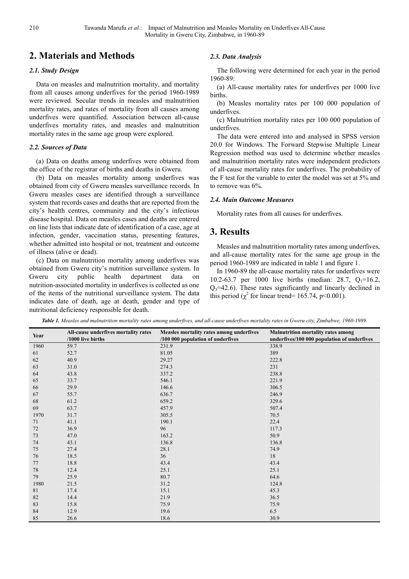# **2. Materials and Methods**

#### *2.1. Study Design*

Data on measles and malnutrition mortality, and mortality from all causes among underfives for the period 1960-1989 were reviewed. Secular trends in measles and malnutrition mortality rates, and rates of mortality from all causes among underfives were quantified. Association between all-cause underfives mortality rates, and measles and malnutrition mortality rates in the same age group were explored.

#### *2.2. Sources of Data*

(a) Data on deaths among underfives were obtained from the office of the registrar of births and deaths in Gweru.

(b) Data on measles mortality among underfives was obtained from city of Gweru measles surveillance records. In Gweru measles cases are identified through a surveillance system that records cases and deaths that are reported from the city's health centres, community and the city's infectious disease hospital. Data on measles cases and deaths are entered on line lists that indicate date of identification of a case, age at infection, gender, vaccination status, presenting features, whether admitted into hospital or not, treatment and outcome of illness (alive or dead).

(c) Data on malnutrition mortality among underfives was obtained from Gweru city's nutrition surveillance system. In Gweru city public health department data on nutrition-associated mortality in underfives is collected as one of the items of the nutritional surveillance system. The data indicates date of death, age at death, gender and type of nutritional deficiency responsible for death.

#### *2.3. Data Analysis*

The following were determined for each year in the period 1960-89:

(a) All-cause mortality rates for underfives per 1000 live births.

(b) Measles mortality rates per 100 000 population of underfives.

(c) Malnutrition mortality rates per 100 000 population of underfives.

The data were entered into and analysed in SPSS version 20.0 for Windows. The Forward Stepwise Multiple Linear Regression method was used to determine whether measles and malnutrition mortality rates were independent predictors of all-cause mortality rates for underfives. The probability of the F test for the variable to enter the model was set at 5% and to remove was 6%.

#### *2.4. Main Outcome Measures*

Mortality rates from all causes for underfives.

### **3. Results**

Measles and malnutrition mortality rates among underfives, and all-cause mortality rates for the same age group in the period 1960-1989 are indicated in table 1 and figure 1.

In 1960-89 the all-cause mortality rates for underfives were 10.2-63.7 per 1000 live births (median: 28.7,  $Q_1=16.2$ ,  $Q_3$ =42.6). These rates significantly and linearly declined in this period ( $\chi^2$  for linear trend= 165.74, p<0.001).

| Year | All-cause underfives mortality rates | Measles mortality rates among underfives | <b>Malnutrition mortality rates among</b>   |
|------|--------------------------------------|------------------------------------------|---------------------------------------------|
|      | /1000 live births                    | /100 000 population of underfives        | underfives/100 000 population of underfives |
| 1960 | 59.7                                 | 231.9                                    | 338.9                                       |
| 61   | 52.7                                 | 81.05                                    | 389                                         |
| 62   | 40.9                                 | 29.27                                    | 222.8                                       |
| 63   | 31.0                                 | 274.3                                    | 231                                         |
| 64   | 43.8                                 | 337.2                                    | 238.8                                       |
| 65   | 33.7                                 | 546.1                                    | 221.9                                       |
| 66   | 29.9                                 | 146.6                                    | 306.5                                       |
| 67   | 55.7                                 | 636.7                                    | 246.9                                       |
| 68   | 61.2                                 | 659.2                                    | 329.6                                       |
| 69   | 63.7                                 | 457.9                                    | 507.4                                       |
| 1970 | 31.7                                 | 305.5                                    | 70.5                                        |
| 71   | 41.1                                 | 190.1                                    | 22.4                                        |
| 72   | 36.9                                 | 96                                       | 117.3                                       |
| 73   | 47.0                                 | 163.2                                    | 50.9                                        |
| 74   | 43.1                                 | 136.8                                    | 136.8                                       |
| 75   | 27.4                                 | 28.1                                     | 74.9                                        |
| 76   | 18.5                                 | 36                                       | 18                                          |
| 77   | 18.8                                 | 43.4                                     | 43.4                                        |
| 78   | 12.4                                 | 25.1                                     | 25.1                                        |
| 79   | 25.9                                 | 80.7                                     | 64.6                                        |
| 1980 | 21.5                                 | 31.2                                     | 124.8                                       |
| 81   | 17.4                                 | 15.1                                     | 45.3                                        |
| 82   | 14.4                                 | 21.9                                     | 36.5                                        |
| 83   | 15.8                                 | 75.9                                     | 75.9                                        |
| 84   | 12.9                                 | 19.6                                     | 6.5                                         |
| 85   | 26.6                                 | 18.6                                     | 30.9                                        |

*Table 1. Measles and malnutrition mortality rates among underfives, and all-cause underfives mortality rates in Gweru city, Zimbabwe, 1960-1989.*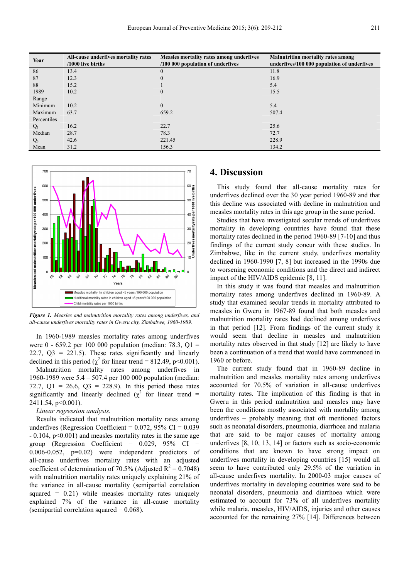| Year        | All-cause underfives mortality rates<br>$/1000$ live births | Measles mortality rates among underfives<br>/100 000 population of underfives | <b>Malnutrition mortality rates among</b><br>underfives/100 000 population of underfives |
|-------------|-------------------------------------------------------------|-------------------------------------------------------------------------------|------------------------------------------------------------------------------------------|
| 86          | 13.4                                                        | $\mathbf{0}$                                                                  | 11.8                                                                                     |
| 87          | 12.3                                                        | $\mathbf{0}$                                                                  | 16.9                                                                                     |
| 88          | 15.2                                                        |                                                                               | 5.4                                                                                      |
| 1989        | 10.2                                                        | $\boldsymbol{0}$                                                              | 15.5                                                                                     |
| Range       |                                                             |                                                                               |                                                                                          |
| Minimum     | 10.2                                                        | $\mathbf{0}$                                                                  | 5.4                                                                                      |
| Maximum     | 63.7                                                        | 659.2                                                                         | 507.4                                                                                    |
| Percentiles |                                                             |                                                                               |                                                                                          |
| $Q_1$       | 16.2                                                        | 22.7                                                                          | 25.6                                                                                     |
| Median      | 28.7                                                        | 78.3                                                                          | 72.7                                                                                     |
| $Q_3$       | 42.6                                                        | 221.45                                                                        | 228.9                                                                                    |
| Mean        | 31.2                                                        | 156.3                                                                         | 134.2                                                                                    |



*Figure 1. Measles and malnutrition mortality rates among underfives, and all-cause underfives mortality rates in Gweru city, Zimbabwe, 1960-1989.* 

In 1960-1989 measles mortality rates among underfives were 0 - 659.2 per 100 000 population (median: 78.3, Q1 = 22.7,  $Q3 = 221.5$ ). These rates significantly and linearly declined in this period ( $\chi^2$  for linear trend = 812.49, p<0.001).

Malnutrition mortality rates among underfives in 1960-1989 were 5.4 – 507.4 per 100 000 population (median: 72.7,  $Q1 = 26.6$ ,  $Q3 = 228.9$ ). In this period these rates significantly and linearly declined ( $\chi^2$  for linear trend = 2411.54, p<0.001).

#### *Linear regression analysis.*

Results indicated that malnutrition mortality rates among underfives (Regression Coefficient =  $0.072$ , 95% CI =  $0.039$ - 0.104, p<0.001) and measles mortality rates in the same age group (Regression Coefficient =  $0.029$ ,  $95\%$  CI = 0.006-0.052, p=0.02) were independent predictors of all-cause underfives mortality rates with an adjusted coefficient of determination of 70.5% (Adjusted  $R^2 = 0.7048$ ) with malnutrition mortality rates uniquely explaining 21% of the variance in all-cause mortality (semipartial correlation squared  $= 0.21$ ) while measles mortality rates uniquely explained 7% of the variance in all-cause mortality (semipartial correlation squared  $= 0.068$ ).

### **4. Discussion**

This study found that all-cause mortality rates for underfives declined over the 30 year period 1960-89 and that this decline was associated with decline in malnutrition and measles mortality rates in this age group in the same period.

Studies that have investigated secular trends of underfives mortality in developing countries have found that these mortality rates declined in the period 1960-89 [7-10] and thus findings of the current study concur with these studies. In Zimbabwe, like in the current study, underfives mortality declined in 1960-1990 [7, 8] but increased in the 1990s due to worsening economic conditions and the direct and indirect impact of the HIV/AIDS epidemic [8, 11].

In this study it was found that measles and malnutrition mortality rates among underfives declined in 1960-89. A study that examined secular trends in mortality attributed to measles in Gweru in 1967-89 found that both measles and malnutrition mortality rates had declined among underfives in that period [12]. From findings of the current study it would seem that decline in measles and malnutrition mortality rates observed in that study [12] are likely to have been a continuation of a trend that would have commenced in 1960 or before.

The current study found that in 1960-89 decline in malnutrition and measles mortality rates among underfives accounted for 70.5% of variation in all-cause underfives mortality rates. The implication of this finding is that in Gweru in this period malnutrition and measles may have been the conditions mostly associated with mortality among underfives – probably meaning that oft mentioned factors such as neonatal disorders, pneumonia, diarrhoea and malaria that are said to be major causes of mortality among underfives [8, 10, 13, 14] or factors such as socio-economic conditions that are known to have strong impact on underfives mortality in developing countries [15] would all seem to have contributed only 29.5% of the variation in all-cause underfives mortality. In 2000-03 major causes of underfives mortality in developing countries were said to be neonatal disorders, pneumonia and diarrhoea which were estimated to account for 73% of all underfives mortality while malaria, measles, HIV/AIDS, injuries and other causes accounted for the remaining 27% [14]. Differences between